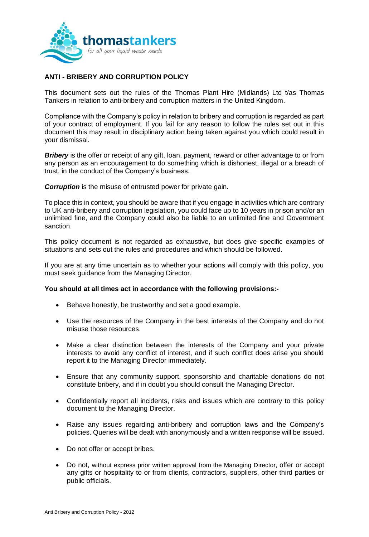

## **ANTI - BRIBERY AND CORRUPTION POLICY**

This document sets out the rules of the Thomas Plant Hire (Midlands) Ltd t/as Thomas Tankers in relation to anti-bribery and corruption matters in the United Kingdom.

Compliance with the Company's policy in relation to bribery and corruption is regarded as part of your contract of employment. If you fail for any reason to follow the rules set out in this document this may result in disciplinary action being taken against you which could result in your dismissal.

**Bribery** is the offer or receipt of any gift, loan, payment, reward or other advantage to or from any person as an encouragement to do something which is dishonest, illegal or a breach of trust, in the conduct of the Company's business.

**Corruption** is the misuse of entrusted power for private gain.

To place this in context, you should be aware that if you engage in activities which are contrary to UK anti-bribery and corruption legislation, you could face up to 10 years in prison and/or an unlimited fine, and the Company could also be liable to an unlimited fine and Government sanction.

This policy document is not regarded as exhaustive, but does give specific examples of situations and sets out the rules and procedures and which should be followed.

If you are at any time uncertain as to whether your actions will comply with this policy, you must seek guidance from the Managing Director.

## **You should at all times act in accordance with the following provisions:-**

- Behave honestly, be trustworthy and set a good example.
- Use the resources of the Company in the best interests of the Company and do not misuse those resources.
- Make a clear distinction between the interests of the Company and your private interests to avoid any conflict of interest, and if such conflict does arise you should report it to the Managing Director immediately.
- Ensure that any community support, sponsorship and charitable donations do not constitute bribery, and if in doubt you should consult the Managing Director.
- Confidentially report all incidents, risks and issues which are contrary to this policy document to the Managing Director.
- Raise any issues regarding anti-bribery and corruption laws and the Company's policies. Queries will be dealt with anonymously and a written response will be issued.
- Do not offer or accept bribes.
- Do not, without express prior written approval from the Managing Director, offer or accept any gifts or hospitality to or from clients, contractors, suppliers, other third parties or public officials.